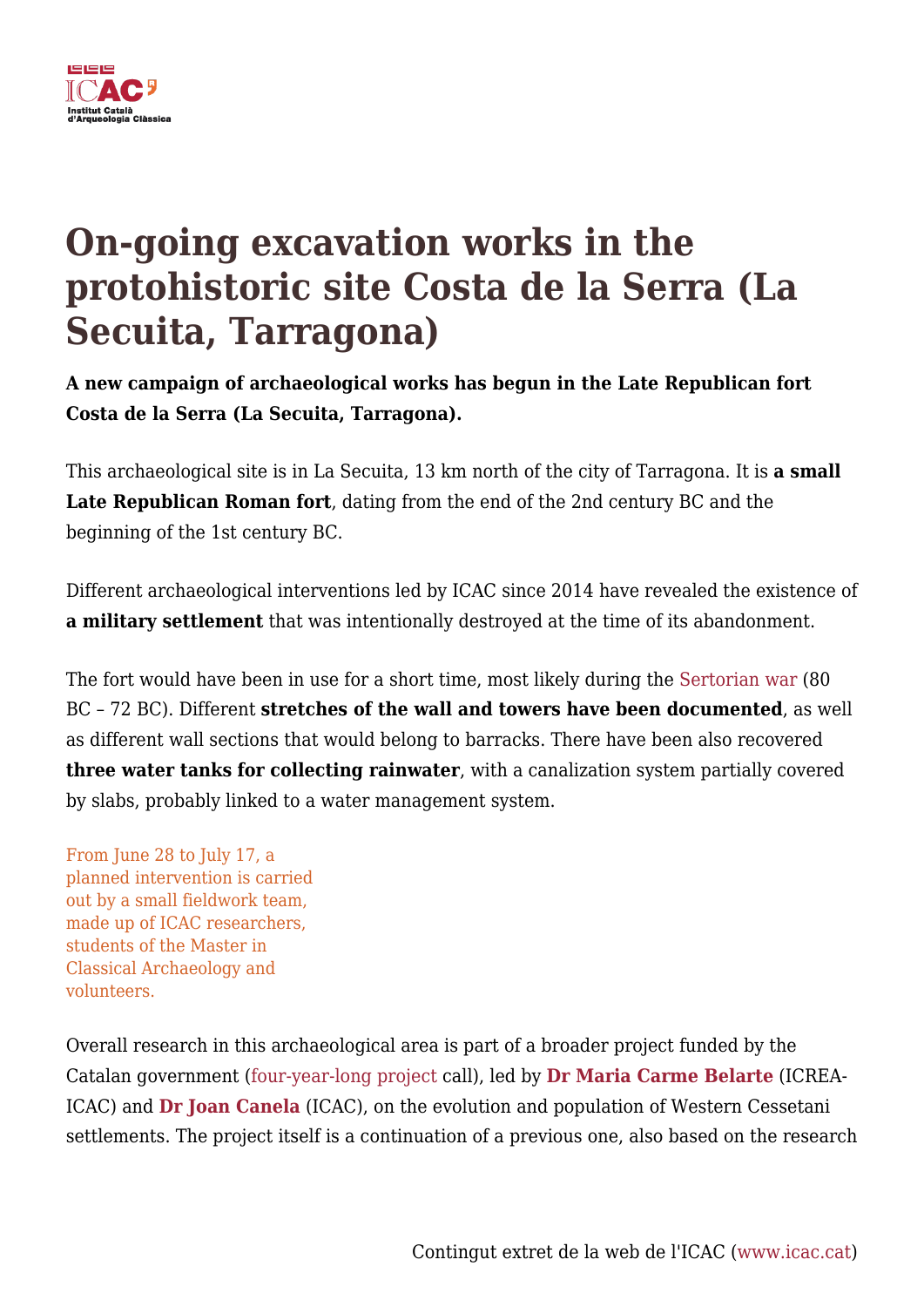

## **On-going excavation works in the protohistoric site Costa de la Serra (La Secuita, Tarragona)**

**A new campaign of archaeological works has begun in the Late Republican fort Costa de la Serra (La Secuita, Tarragona).**

This archaeological site is in La Secuita, 13 km north of the city of Tarragona. It is **a small Late Republican Roman fort**, dating from the end of the 2nd century BC and the beginning of the 1st century BC.

Different archaeological interventions led by ICAC since 2014 have revealed the existence of **a military settlement** that was intentionally destroyed at the time of its abandonment.

The fort would have been in use for a short time, most likely during the [Sertorian war](https://en.wikipedia.org/wiki/Sertorian_War) (80 BC – 72 BC). Different **stretches of the wall and towers have been documented**, as well as different wall sections that would belong to barracks. There have been also recovered **three water tanks for collecting rainwater**, with a canalization system partially covered by slabs, probably linked to a water management system.

From June 28 to July 17, a planned intervention is carried out by a small fieldwork team, made up of ICAC researchers, students of the Master in Classical Archaeology and volunteers.

Overall research in this archaeological area is part of a broader project funded by the Catalan government ([four-year-long project](https://icac.cat/en/recerca/projectes-de-recerca/projecte/formes-docupacio-del-territori-i-evolucio-del-poblament-a-la-cessetania-occidental-durant-la-protohistoria/) call), led by **[Dr Maria Carme Belarte](https://icac.cat/en/who-are-we/staff/cbelarte/)** (ICREA-ICAC) and **[Dr Joan Canela](https://icac.cat/en/who-are-we/staff/jcanela/)** (ICAC), on the evolution and population of Western Cessetani settlements. The project itself is a continuation of a previous one, also based on the research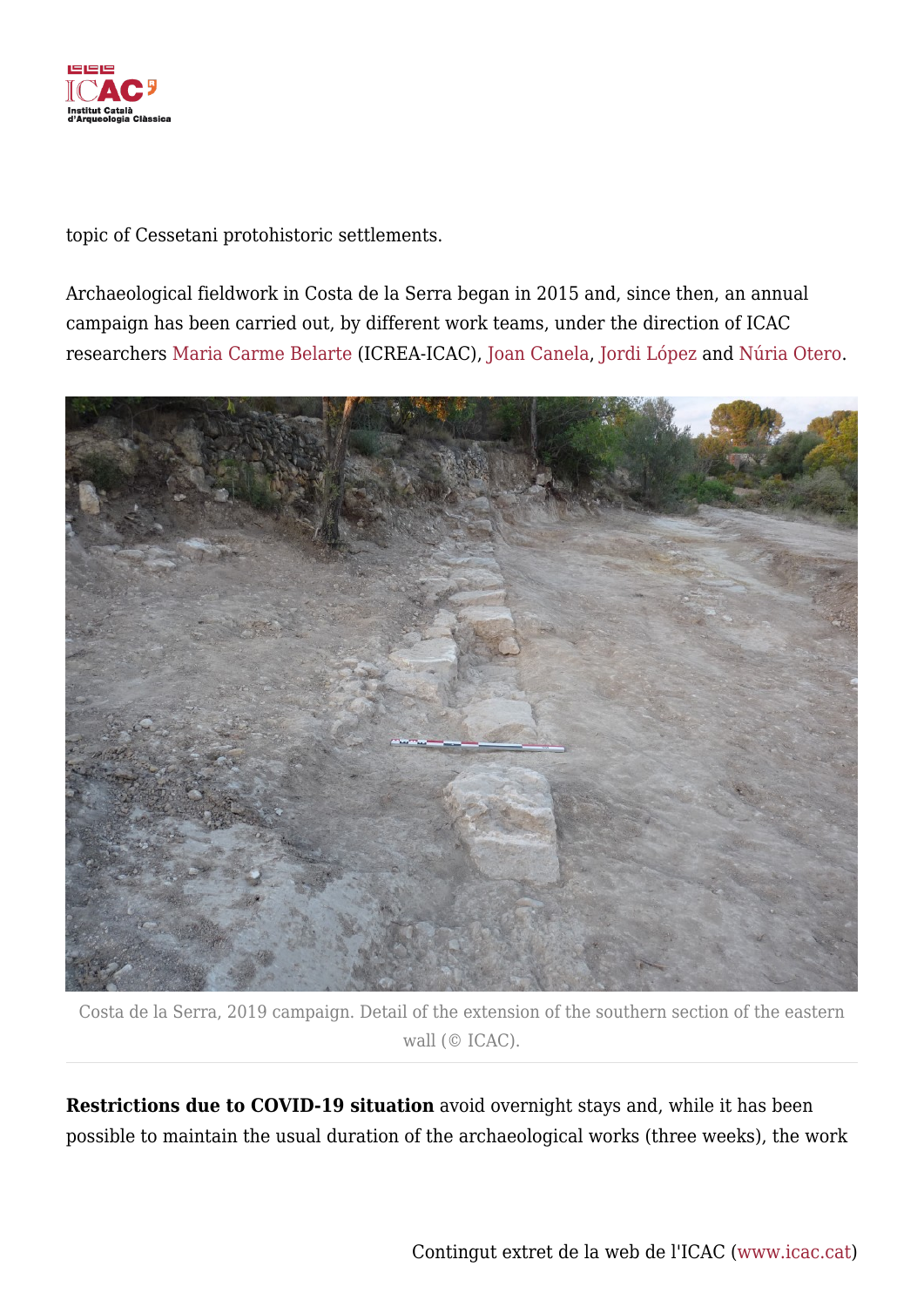

topic of Cessetani protohistoric settlements.

Archaeological fieldwork in Costa de la Serra began in 2015 and, since then, an annual campaign has been carried out, by different work teams, under the direction of ICAC researchers [Maria Carme Belarte](https://icac.cat/en/who-are-we/staff/cbelarte/) (ICREA-ICAC), [Joan Canela,](https://icac.cat/en/who-are-we/staff/jcanela/) [Jordi López](https://icac.cat/en/who-are-we/staff/jlopez/) and [Núria Otero](https://icac.cat/en/who-are-we/staff/notero/).



Costa de la Serra, 2019 campaign. Detail of the extension of the southern section of the eastern wall (© ICAC).

**Restrictions due to COVID-19 situation** avoid overnight stays and, while it has been possible to maintain the usual duration of the archaeological works (three weeks), the work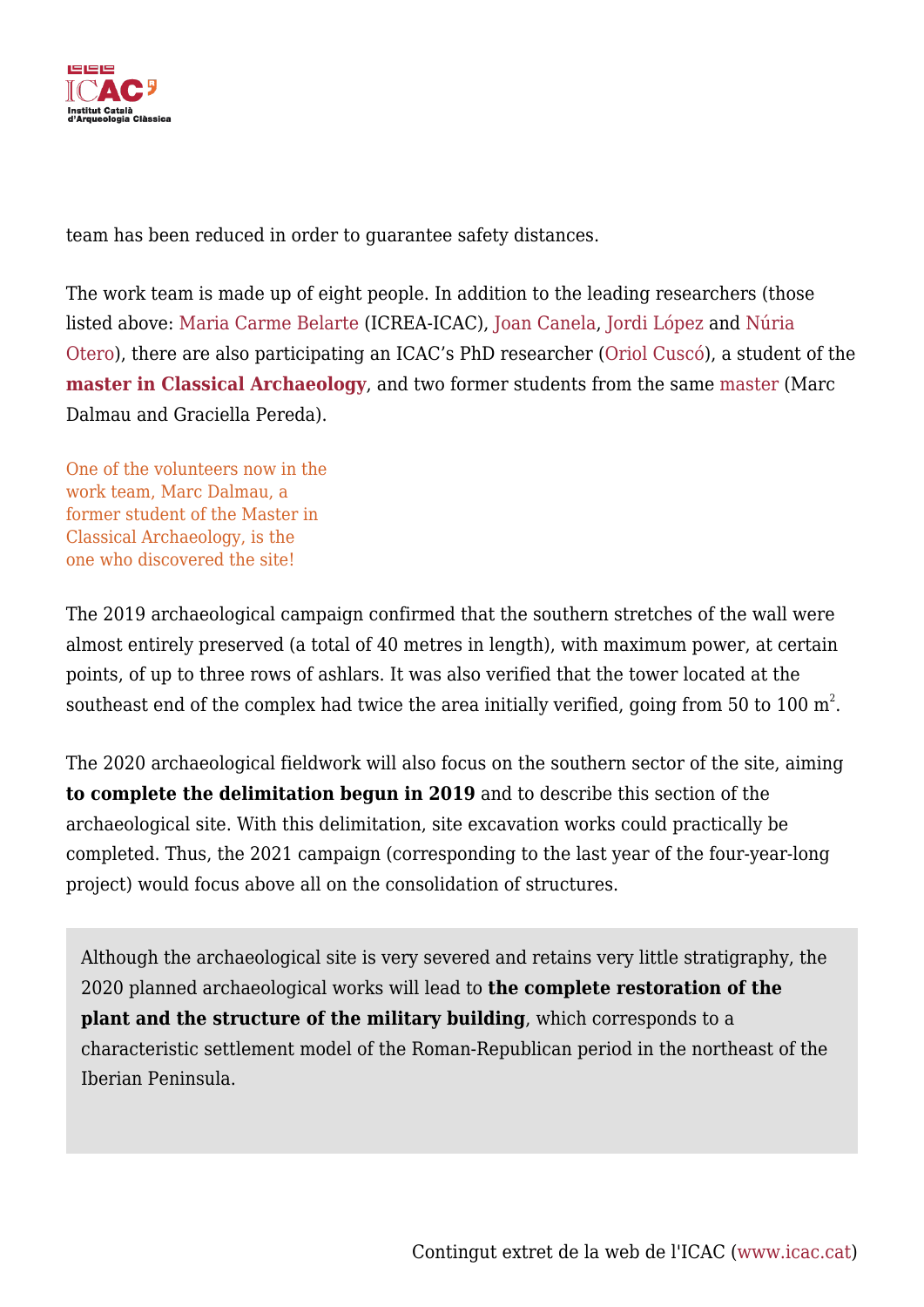

team has been reduced in order to guarantee safety distances.

The work team is made up of eight people. In addition to the leading researchers (those listed above: [Maria Carme Belarte](https://icac.cat/en/who-are-we/staff/cbelarte/) (ICREA-ICAC)[, Joan Canela](https://icac.cat/en/who-are-we/staff/jcanela/), [Jordi López](https://icac.cat/en/who-are-we/staff/jlopez/) and [Núria](https://icac.cat/en/who-are-we/staff/notero/) [Otero\)](https://icac.cat/en/who-are-we/staff/notero/), there are also participating an ICAC's PhD researcher ([Oriol Cuscó\)](https://icac.cat/en/who-are-we/staff/ocusco/), a student of the **[master in Classical Archaeology](https://icac.cat/en/training/master-in-classical-archaeology/)**, and two former students from the same [master](https://icac.cat/en/training/master-in-classical-archaeology/) (Marc Dalmau and Graciella Pereda).

One of the volunteers now in the work team, Marc Dalmau, a former student of the Master in Classical Archaeology, is the one who discovered the site!

The 2019 archaeological campaign confirmed that the southern stretches of the wall were almost entirely preserved (a total of 40 metres in length), with maximum power, at certain points, of up to three rows of ashlars. It was also verified that the tower located at the southeast end of the complex had twice the area initially verified, going from 50 to 100  $\mathrm{m}^{2}.$ 

The 2020 archaeological fieldwork will also focus on the southern sector of the site, aiming **to complete the delimitation begun in 2019** and to describe this section of the archaeological site. With this delimitation, site excavation works could practically be completed. Thus, the 2021 campaign (corresponding to the last year of the four-year-long project) would focus above all on the consolidation of structures.

Although the archaeological site is very severed and retains very little stratigraphy, the 2020 planned archaeological works will lead to **the complete restoration of the plant and the structure of the military building**, which corresponds to a characteristic settlement model of the Roman-Republican period in the northeast of the Iberian Peninsula.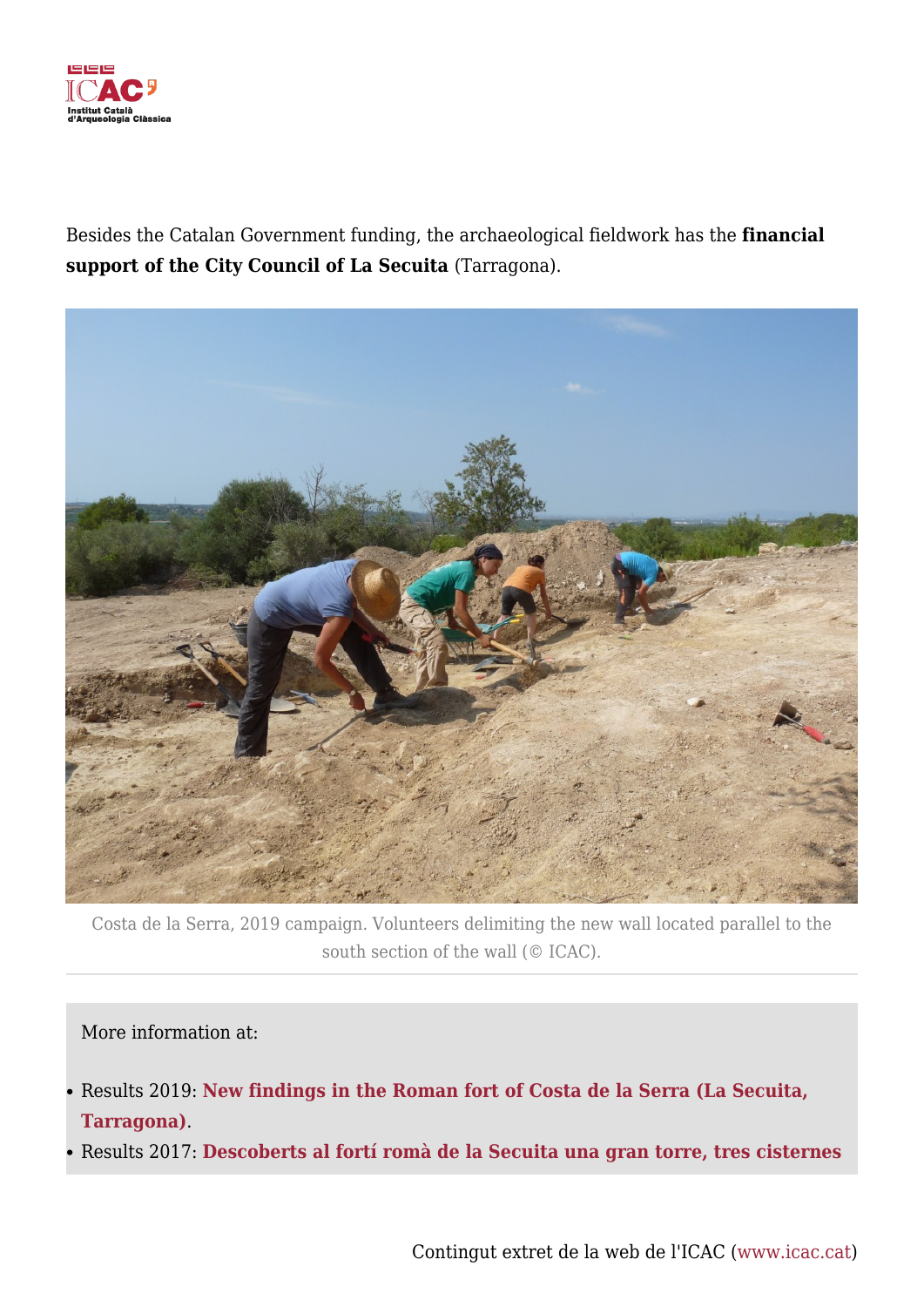

Besides the Catalan Government funding, the archaeological fieldwork has the **financial support of the City Council of La Secuita** (Tarragona).



Costa de la Serra, 2019 campaign. Volunteers delimiting the new wall located parallel to the south section of the wall (© ICAC).

More information at:

- Results 2019: **[New findings in the Roman fort of Costa de la Serra \(La Secuita,](https://icac.cat/en/actualitat/noticies/2019/new-findings-in-the-roman-fort-of-costa-de-la-serra-la-secuita-tarragona/) [Tarragona\)](https://icac.cat/en/actualitat/noticies/2019/new-findings-in-the-roman-fort-of-costa-de-la-serra-la-secuita-tarragona/)**.
- Results 2017: **[Descoberts al fortí romà de la Secuita una gran torre, tres cisternes](https://icac.cat/en/actualitat/noticies/2017/descoberts-al-forti-roma-de-la-secuita-una-gran-torre-tres-cisternes-i-la-muralla-oriental/)**